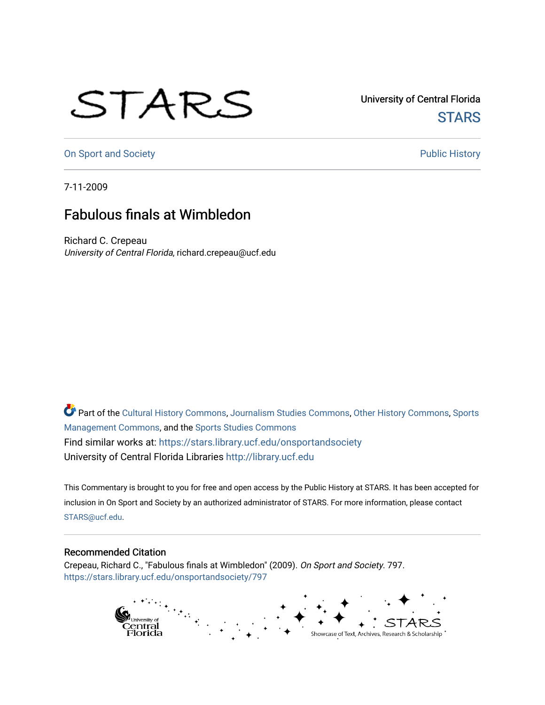## STARS

University of Central Florida **STARS** 

[On Sport and Society](https://stars.library.ucf.edu/onsportandsociety) **Public History** Public History

7-11-2009

## Fabulous finals at Wimbledon

Richard C. Crepeau University of Central Florida, richard.crepeau@ucf.edu

Part of the [Cultural History Commons](http://network.bepress.com/hgg/discipline/496?utm_source=stars.library.ucf.edu%2Fonsportandsociety%2F797&utm_medium=PDF&utm_campaign=PDFCoverPages), [Journalism Studies Commons,](http://network.bepress.com/hgg/discipline/333?utm_source=stars.library.ucf.edu%2Fonsportandsociety%2F797&utm_medium=PDF&utm_campaign=PDFCoverPages) [Other History Commons,](http://network.bepress.com/hgg/discipline/508?utm_source=stars.library.ucf.edu%2Fonsportandsociety%2F797&utm_medium=PDF&utm_campaign=PDFCoverPages) [Sports](http://network.bepress.com/hgg/discipline/1193?utm_source=stars.library.ucf.edu%2Fonsportandsociety%2F797&utm_medium=PDF&utm_campaign=PDFCoverPages) [Management Commons](http://network.bepress.com/hgg/discipline/1193?utm_source=stars.library.ucf.edu%2Fonsportandsociety%2F797&utm_medium=PDF&utm_campaign=PDFCoverPages), and the [Sports Studies Commons](http://network.bepress.com/hgg/discipline/1198?utm_source=stars.library.ucf.edu%2Fonsportandsociety%2F797&utm_medium=PDF&utm_campaign=PDFCoverPages) Find similar works at: <https://stars.library.ucf.edu/onsportandsociety> University of Central Florida Libraries [http://library.ucf.edu](http://library.ucf.edu/) 

This Commentary is brought to you for free and open access by the Public History at STARS. It has been accepted for inclusion in On Sport and Society by an authorized administrator of STARS. For more information, please contact [STARS@ucf.edu](mailto:STARS@ucf.edu).

## Recommended Citation

Crepeau, Richard C., "Fabulous finals at Wimbledon" (2009). On Sport and Society. 797. [https://stars.library.ucf.edu/onsportandsociety/797](https://stars.library.ucf.edu/onsportandsociety/797?utm_source=stars.library.ucf.edu%2Fonsportandsociety%2F797&utm_medium=PDF&utm_campaign=PDFCoverPages)

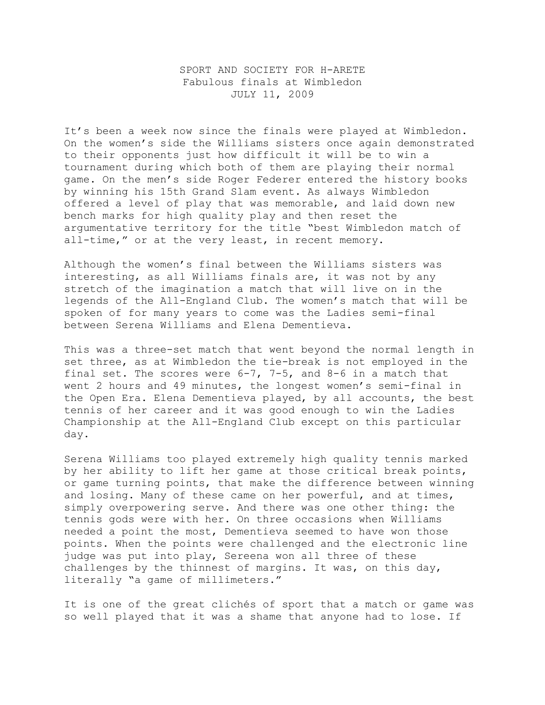## SPORT AND SOCIETY FOR H-ARETE Fabulous finals at Wimbledon JULY 11, 2009

It's been a week now since the finals were played at Wimbledon. On the women's side the Williams sisters once again demonstrated to their opponents just how difficult it will be to win a tournament during which both of them are playing their normal game. On the men's side Roger Federer entered the history books by winning his 15th Grand Slam event. As always Wimbledon offered a level of play that was memorable, and laid down new bench marks for high quality play and then reset the argumentative territory for the title "best Wimbledon match of all-time," or at the very least, in recent memory.

Although the women's final between the Williams sisters was interesting, as all Williams finals are, it was not by any stretch of the imagination a match that will live on in the legends of the All-England Club. The women's match that will be spoken of for many years to come was the Ladies semi-final between Serena Williams and Elena Dementieva.

This was a three-set match that went beyond the normal length in set three, as at Wimbledon the tie-break is not employed in the final set. The scores were 6-7, 7-5, and 8-6 in a match that went 2 hours and 49 minutes, the longest women's semi-final in the Open Era. Elena Dementieva played, by all accounts, the best tennis of her career and it was good enough to win the Ladies Championship at the All-England Club except on this particular day.

Serena Williams too played extremely high quality tennis marked by her ability to lift her game at those critical break points, or game turning points, that make the difference between winning and losing. Many of these came on her powerful, and at times, simply overpowering serve. And there was one other thing: the tennis gods were with her. On three occasions when Williams needed a point the most, Dementieva seemed to have won those points. When the points were challenged and the electronic line judge was put into play, Sereena won all three of these challenges by the thinnest of margins. It was, on this day, literally "a game of millimeters."

It is one of the great clichés of sport that a match or game was so well played that it was a shame that anyone had to lose. If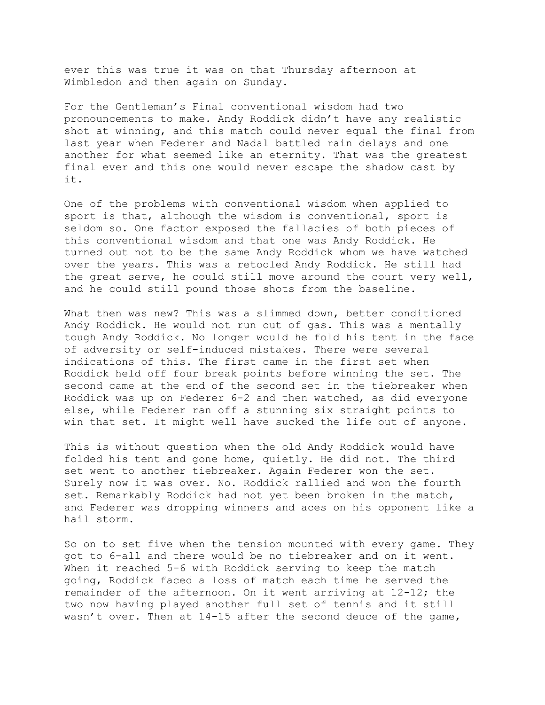ever this was true it was on that Thursday afternoon at Wimbledon and then again on Sunday.

For the Gentleman's Final conventional wisdom had two pronouncements to make. Andy Roddick didn't have any realistic shot at winning, and this match could never equal the final from last year when Federer and Nadal battled rain delays and one another for what seemed like an eternity. That was the greatest final ever and this one would never escape the shadow cast by it.

One of the problems with conventional wisdom when applied to sport is that, although the wisdom is conventional, sport is seldom so. One factor exposed the fallacies of both pieces of this conventional wisdom and that one was Andy Roddick. He turned out not to be the same Andy Roddick whom we have watched over the years. This was a retooled Andy Roddick. He still had the great serve, he could still move around the court very well, and he could still pound those shots from the baseline.

What then was new? This was a slimmed down, better conditioned Andy Roddick. He would not run out of gas. This was a mentally tough Andy Roddick. No longer would he fold his tent in the face of adversity or self-induced mistakes. There were several indications of this. The first came in the first set when Roddick held off four break points before winning the set. The second came at the end of the second set in the tiebreaker when Roddick was up on Federer 6-2 and then watched, as did everyone else, while Federer ran off a stunning six straight points to win that set. It might well have sucked the life out of anyone.

This is without question when the old Andy Roddick would have folded his tent and gone home, quietly. He did not. The third set went to another tiebreaker. Again Federer won the set. Surely now it was over. No. Roddick rallied and won the fourth set. Remarkably Roddick had not yet been broken in the match, and Federer was dropping winners and aces on his opponent like a hail storm.

So on to set five when the tension mounted with every game. They got to 6-all and there would be no tiebreaker and on it went. When it reached 5-6 with Roddick serving to keep the match going, Roddick faced a loss of match each time he served the remainder of the afternoon. On it went arriving at 12-12; the two now having played another full set of tennis and it still wasn't over. Then at 14-15 after the second deuce of the game,